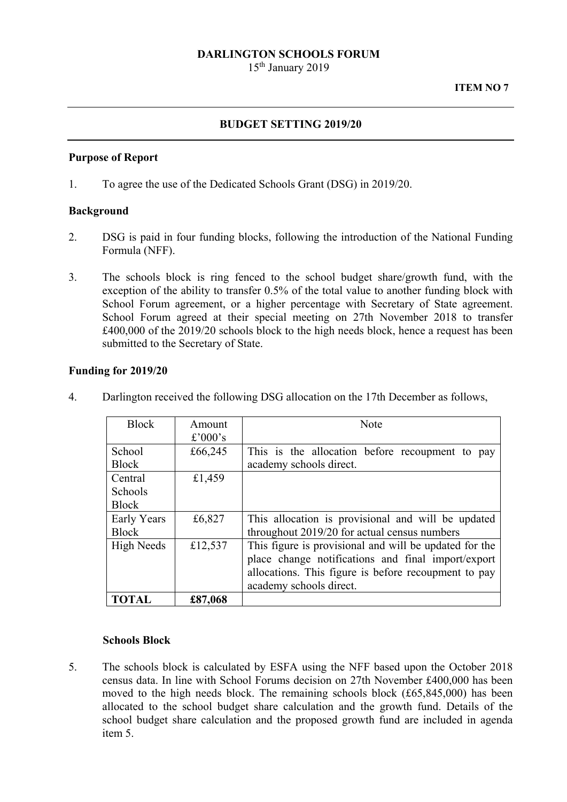### **DARLINGTON SCHOOLS FORUM**

15<sup>th</sup> January 2019

### **BUDGET SETTING 2019/20**

#### **Purpose of Report**

1. To agree the use of the Dedicated Schools Grant (DSG) in 2019/20.

### **Background**

- 2. DSG is paid in four funding blocks, following the introduction of the National Funding Formula (NFF).
- 3. The schools block is ring fenced to the school budget share/growth fund, with the exception of the ability to transfer 0.5% of the total value to another funding block with School Forum agreement, or a higher percentage with Secretary of State agreement. School Forum agreed at their special meeting on 27th November 2018 to transfer £400,000 of the 2019/20 schools block to the high needs block, hence a request has been submitted to the Secretary of State.

#### **Funding for 2019/20**

| <b>Block</b>      | Amount  | <b>Note</b>                                            |
|-------------------|---------|--------------------------------------------------------|
|                   | £'000's |                                                        |
| School            | £66,245 | This is the allocation before recoupment to pay        |
| <b>Block</b>      |         | academy schools direct.                                |
| Central           | £1,459  |                                                        |
| Schools           |         |                                                        |
| <b>Block</b>      |         |                                                        |
| Early Years       | £6,827  | This allocation is provisional and will be updated     |
| <b>Block</b>      |         | throughout 2019/20 for actual census numbers           |
| <b>High Needs</b> | £12,537 | This figure is provisional and will be updated for the |
|                   |         | place change notifications and final import/export     |
|                   |         | allocations. This figure is before recoupment to pay   |
|                   |         | academy schools direct.                                |
| <b>TOTAL</b>      | £87,068 |                                                        |

4. Darlington received the following DSG allocation on the 17th December as follows,

## **Schools Block**

5. The schools block is calculated by ESFA using the NFF based upon the October 2018 census data. In line with School Forums decision on 27th November £400,000 has been moved to the high needs block. The remaining schools block (£65,845,000) has been allocated to the school budget share calculation and the growth fund. Details of the school budget share calculation and the proposed growth fund are included in agenda item 5.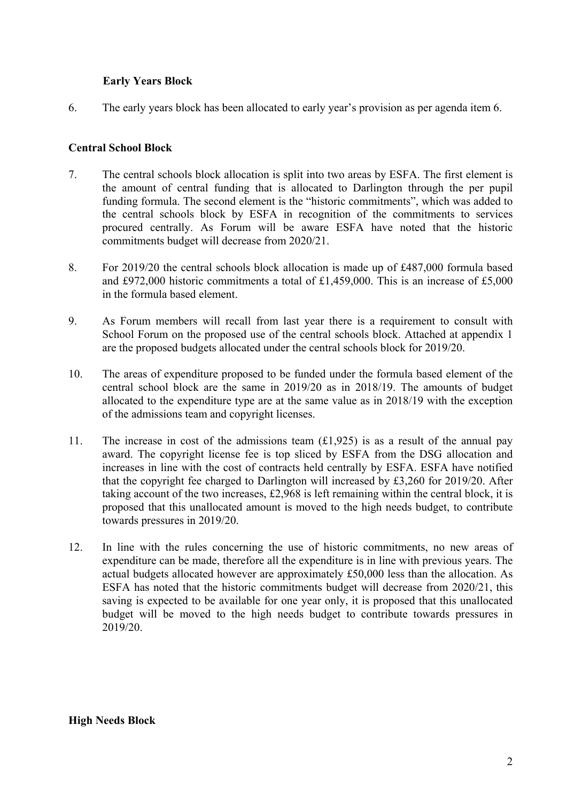# **Early Years Block**

6. The early years block has been allocated to early year's provision as per agenda item 6.

## **Central School Block**

- 7. The central schools block allocation is split into two areas by ESFA. The first element is the amount of central funding that is allocated to Darlington through the per pupil funding formula. The second element is the "historic commitments", which was added to the central schools block by ESFA in recognition of the commitments to services procured centrally. As Forum will be aware ESFA have noted that the historic commitments budget will decrease from 2020/21.
- 8. For 2019/20 the central schools block allocation is made up of £487,000 formula based and £972,000 historic commitments a total of £1,459,000. This is an increase of £5,000 in the formula based element.
- 9. As Forum members will recall from last year there is a requirement to consult with School Forum on the proposed use of the central schools block. Attached at appendix 1 are the proposed budgets allocated under the central schools block for 2019/20.
- 10. The areas of expenditure proposed to be funded under the formula based element of the central school block are the same in 2019/20 as in 2018/19. The amounts of budget allocated to the expenditure type are at the same value as in 2018/19 with the exception of the admissions team and copyright licenses.
- award. The copyright license fee is top sliced by ESFA from the DSG allocation and 11. The increase in cost of the admissions team  $(f1, 925)$  is as a result of the annual pay increases in line with the cost of contracts held centrally by ESFA. ESFA have notified that the copyright fee charged to Darlington will increased by £3,260 for 2019/20. After taking account of the two increases, £2,968 is left remaining within the central block, it is proposed that this unallocated amount is moved to the high needs budget, to contribute towards pressures in 2019/20.
- 12. In line with the rules concerning the use of historic commitments, no new areas of expenditure can be made, therefore all the expenditure is in line with previous years. The actual budgets allocated however are approximately £50,000 less than the allocation. As ESFA has noted that the historic commitments budget will decrease from 2020/21, this saving is expected to be available for one year only, it is proposed that this unallocated budget will be moved to the high needs budget to contribute towards pressures in 2019/20.

### **High Needs Block**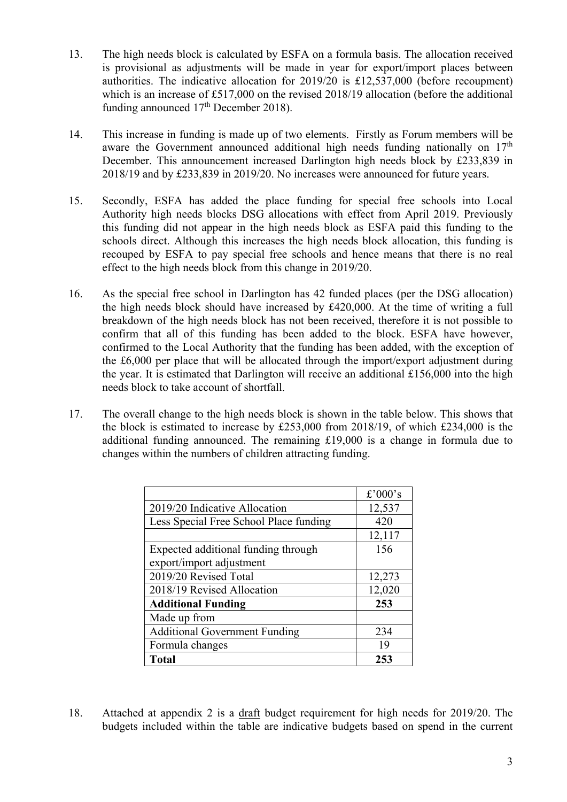- 13. The high needs block is calculated by ESFA on a formula basis. The allocation received is provisional as adjustments will be made in year for export/import places between authorities. The indicative allocation for 2019/20 is £12,537,000 (before recoupment) which is an increase of £517,000 on the revised 2018/19 allocation (before the additional funding announced  $17<sup>th</sup>$  December 2018).
- 14. This increase in funding is made up of two elements. Firstly as Forum members will be aware the Government announced additional high needs funding nationally on  $17<sup>th</sup>$ December. This announcement increased Darlington high needs block by £233,839 in 2018/19 and by £233,839 in 2019/20. No increases were announced for future years.
- 15. Secondly, ESFA has added the place funding for special free schools into Local Authority high needs blocks DSG allocations with effect from April 2019. Previously this funding did not appear in the high needs block as ESFA paid this funding to the schools direct. Although this increases the high needs block allocation, this funding is recouped by ESFA to pay special free schools and hence means that there is no real effect to the high needs block from this change in 2019/20.
- 16. As the special free school in Darlington has 42 funded places (per the DSG allocation) the high needs block should have increased by £420,000. At the time of writing a full breakdown of the high needs block has not been received, therefore it is not possible to confirm that all of this funding has been added to the block. ESFA have however, confirmed to the Local Authority that the funding has been added, with the exception of the £6,000 per place that will be allocated through the import/export adjustment during the year. It is estimated that Darlington will receive an additional £156,000 into the high needs block to take account of shortfall.
- 17. The overall change to the high needs block is shown in the table below. This shows that the block is estimated to increase by £253,000 from 2018/19, of which £234,000 is the additional funding announced. The remaining £19,000 is a change in formula due to changes within the numbers of children attracting funding.

|                                        | £'000's |
|----------------------------------------|---------|
| 2019/20 Indicative Allocation          | 12,537  |
| Less Special Free School Place funding | 420     |
|                                        | 12,117  |
| Expected additional funding through    | 156     |
| export/import adjustment               |         |
| 2019/20 Revised Total                  | 12,273  |
| 2018/19 Revised Allocation             | 12,020  |
| <b>Additional Funding</b>              | 253     |
| Made up from                           |         |
| <b>Additional Government Funding</b>   | 234     |
| Formula changes                        | 19      |
| <b>Total</b>                           | 253     |

18. Attached at appendix 2 is a draft budget requirement for high needs for 2019/20. The budgets included within the table are indicative budgets based on spend in the current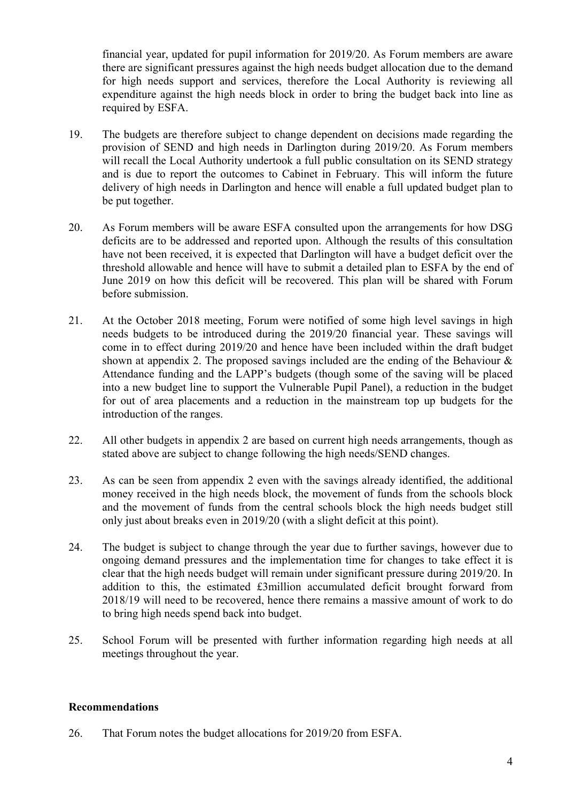financial year, updated for pupil information for 2019/20. As Forum members are aware there are significant pressures against the high needs budget allocation due to the demand for high needs support and services, therefore the Local Authority is reviewing all expenditure against the high needs block in order to bring the budget back into line as required by ESFA.

- 19. The budgets are therefore subject to change dependent on decisions made regarding the provision of SEND and high needs in Darlington during 2019/20. As Forum members will recall the Local Authority undertook a full public consultation on its SEND strategy and is due to report the outcomes to Cabinet in February. This will inform the future delivery of high needs in Darlington and hence will enable a full updated budget plan to be put together.
- 20. As Forum members will be aware ESFA consulted upon the arrangements for how DSG deficits are to be addressed and reported upon. Although the results of this consultation have not been received, it is expected that Darlington will have a budget deficit over the threshold allowable and hence will have to submit a detailed plan to ESFA by the end of June 2019 on how this deficit will be recovered. This plan will be shared with Forum before submission.
- 21. At the October 2018 meeting, Forum were notified of some high level savings in high needs budgets to be introduced during the 2019/20 financial year. These savings will come in to effect during 2019/20 and hence have been included within the draft budget shown at appendix 2. The proposed savings included are the ending of the Behaviour & Attendance funding and the LAPP's budgets (though some of the saving will be placed into a new budget line to support the Vulnerable Pupil Panel), a reduction in the budget for out of area placements and a reduction in the mainstream top up budgets for the introduction of the ranges.
- 22. All other budgets in appendix 2 are based on current high needs arrangements, though as stated above are subject to change following the high needs/SEND changes.
- 23. As can be seen from appendix 2 even with the savings already identified, the additional money received in the high needs block, the movement of funds from the schools block and the movement of funds from the central schools block the high needs budget still only just about breaks even in 2019/20 (with a slight deficit at this point).
- 24. The budget is subject to change through the year due to further savings, however due to ongoing demand pressures and the implementation time for changes to take effect it is clear that the high needs budget will remain under significant pressure during 2019/20. In addition to this, the estimated £3million accumulated deficit brought forward from 2018/19 will need to be recovered, hence there remains a massive amount of work to do to bring high needs spend back into budget.
- 25. School Forum will be presented with further information regarding high needs at all meetings throughout the year.

# **Recommendations**

26. That Forum notes the budget allocations for 2019/20 from ESFA.